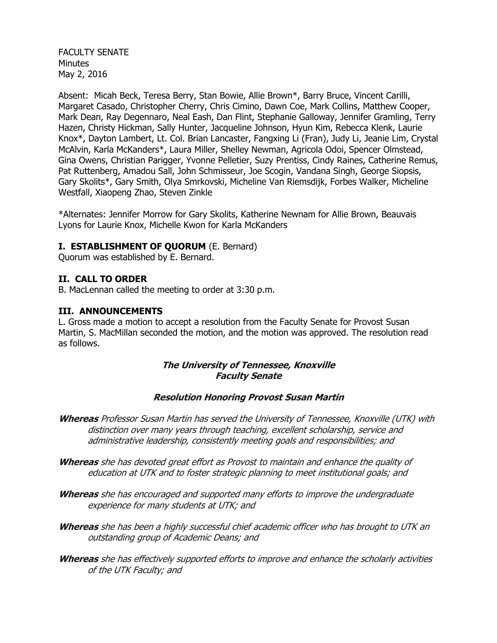FACULTY SENATE **Minutes** May 2, 2016

Absent: Micah Beck, Teresa Berry, Stan Bowie, Allie Brown\*, Barry Bruce, Vincent Carilli, Margaret Casado, Christopher Cherry, Chris Cimino, Dawn Coe, Mark Collins, Matthew Cooper, Mark Dean, Ray Degennaro, Neal Eash, Dan Flint, Stephanie Galloway, Jennifer Gramling, Terry Hazen, Christy Hickman, Sally Hunter, Jacqueline Johnson, Hyun Kim, Rebecca Klenk, Laurie Knox\*, Dayton Lambert, Lt. Col. Brian Lancaster, Fangxing Li (Fran), Judy Li, Jeanie Lim, Crystal McAlvin, Karla McKanders\*, Laura Miller, Shelley Newman, Agricola Odoi, Spencer Olmstead, Gina Owens, Christian Parigger, Yvonne Pelletier, Suzy Prentiss, Cindy Raines, Catherine Remus, Pat Ruttenberg, Amadou Sall, John Schmisseur, Joe Scogin, Vandana Singh, George Siopsis, Gary Skolits\*, Gary Smith, Olya Smrkovski, Micheline Van Riemsdijk, Forbes Walker, Micheline Westfall, Xiaopeng Zhao, Steven Zinkle

\*Alternates: Jennifer Morrow for Gary Skolits, Katherine Newnam for Allie Brown, Beauvais Lyons for Laurie Knox, Michelle Kwon for Karla McKanders

### **I. ESTABLISHMENT OF QUORUM** (E. Bernard)

Quorum was established by E. Bernard.

#### **II. CALL TO ORDER**

B. MacLennan called the meeting to order at 3:30 p.m.

#### **III. ANNOUNCEMENTS**

L. Gross made a motion to accept a resolution from the Faculty Senate for Provost Susan Martin, S. MacMillan seconded the motion, and the motion was approved. The resolution read as follows.

#### **The University of Tennessee, Knoxville Faculty Senate**

#### **Resolution Honoring Provost Susan Martin**

- **Whereas** Professor Susan Martin has served the University of Tennessee, Knoxville (UTK) with distinction over many years through teaching, excellent scholarship, service and administrative leadership, consistently meeting goals and responsibilities; and
- **Whereas** she has devoted great effort as Provost to maintain and enhance the quality of education at UTK and to foster strategic planning to meet institutional goals; and
- **Whereas** she has encouraged and supported many efforts to improve the undergraduate experience for many students at UTK; and
- **Whereas** she has been a highly successful chief academic officer who has brought to UTK an outstanding group of Academic Deans; and
- **Whereas** she has effectively supported efforts to improve and enhance the scholarly activities of the UTK Faculty; and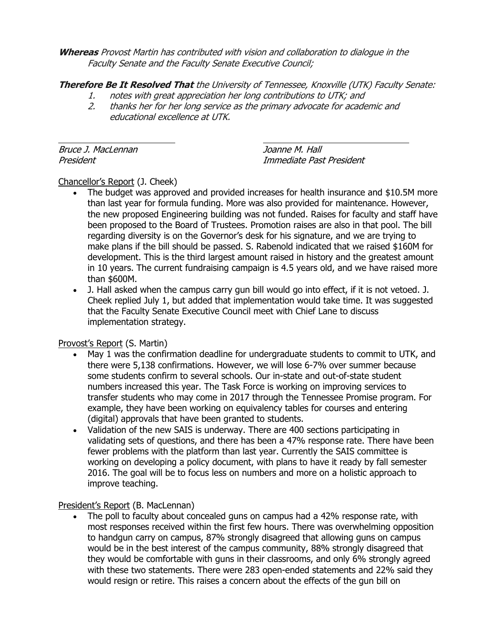**Whereas** Provost Martin has contributed with vision and collaboration to dialogue in the Faculty Senate and the Faculty Senate Executive Council;

**Therefore Be It Resolved That** the University of Tennessee, Knoxville (UTK) Faculty Senate:

- 1. notes with great appreciation her long contributions to UTK; and
- 2. thanks her for her long service as the primary advocate for academic and educational excellence at UTK.

Bruce J. MacLennan **International Community** Soanne M. Hall

President Immediate Past President

# Chancellor's Report (J. Cheek)

- The budget was approved and provided increases for health insurance and \$10.5M more than last year for formula funding. More was also provided for maintenance. However, the new proposed Engineering building was not funded. Raises for faculty and staff have been proposed to the Board of Trustees. Promotion raises are also in that pool. The bill regarding diversity is on the Governor's desk for his signature, and we are trying to make plans if the bill should be passed. S. Rabenold indicated that we raised \$160M for development. This is the third largest amount raised in history and the greatest amount in 10 years. The current fundraising campaign is 4.5 years old, and we have raised more than \$600M.
- J. Hall asked when the campus carry gun bill would go into effect, if it is not vetoed. J. Cheek replied July 1, but added that implementation would take time. It was suggested that the Faculty Senate Executive Council meet with Chief Lane to discuss implementation strategy.

## Provost's Report (S. Martin)

- May 1 was the confirmation deadline for undergraduate students to commit to UTK, and there were 5,138 confirmations. However, we will lose 6-7% over summer because some students confirm to several schools. Our in-state and out-of-state student numbers increased this year. The Task Force is working on improving services to transfer students who may come in 2017 through the Tennessee Promise program. For example, they have been working on equivalency tables for courses and entering (digital) approvals that have been granted to students.
- Validation of the new SAIS is underway. There are 400 sections participating in validating sets of questions, and there has been a 47% response rate. There have been fewer problems with the platform than last year. Currently the SAIS committee is working on developing a policy document, with plans to have it ready by fall semester 2016. The goal will be to focus less on numbers and more on a holistic approach to improve teaching.

## President's Report (B. MacLennan)

 The poll to faculty about concealed guns on campus had a 42% response rate, with most responses received within the first few hours. There was overwhelming opposition to handgun carry on campus, 87% strongly disagreed that allowing guns on campus would be in the best interest of the campus community, 88% strongly disagreed that they would be comfortable with guns in their classrooms, and only 6% strongly agreed with these two statements. There were 283 open-ended statements and 22% said they would resign or retire. This raises a concern about the effects of the gun bill on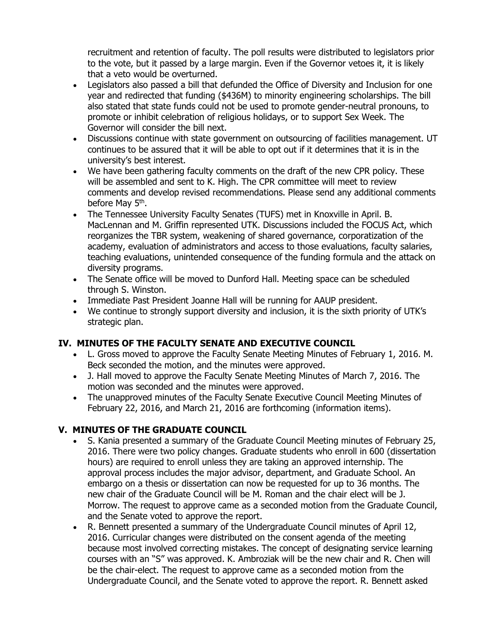recruitment and retention of faculty. The poll results were distributed to legislators prior to the vote, but it passed by a large margin. Even if the Governor vetoes it, it is likely that a veto would be overturned.

- Legislators also passed a bill that defunded the Office of Diversity and Inclusion for one year and redirected that funding (\$436M) to minority engineering scholarships. The bill also stated that state funds could not be used to promote gender-neutral pronouns, to promote or inhibit celebration of religious holidays, or to support Sex Week. The Governor will consider the bill next.
- Discussions continue with state government on outsourcing of facilities management. UT continues to be assured that it will be able to opt out if it determines that it is in the university's best interest.
- We have been gathering faculty comments on the draft of the new CPR policy. These will be assembled and sent to K. High. The CPR committee will meet to review comments and develop revised recommendations. Please send any additional comments before May 5<sup>th</sup>.
- The Tennessee University Faculty Senates (TUFS) met in Knoxville in April. B. MacLennan and M. Griffin represented UTK. Discussions included the FOCUS Act, which reorganizes the TBR system, weakening of shared governance, corporatization of the academy, evaluation of administrators and access to those evaluations, faculty salaries, teaching evaluations, unintended consequence of the funding formula and the attack on diversity programs.
- The Senate office will be moved to Dunford Hall. Meeting space can be scheduled through S. Winston.
- Immediate Past President Joanne Hall will be running for AAUP president.
- We continue to strongly support diversity and inclusion, it is the sixth priority of UTK's strategic plan.

# **IV. MINUTES OF THE FACULTY SENATE AND EXECUTIVE COUNCIL**

- L. Gross moved to approve the Faculty Senate Meeting Minutes of February 1, 2016. M. Beck seconded the motion, and the minutes were approved.
- J. Hall moved to approve the Faculty Senate Meeting Minutes of March 7, 2016. The motion was seconded and the minutes were approved.
- The unapproved minutes of the Faculty Senate Executive Council Meeting Minutes of February 22, 2016, and March 21, 2016 are forthcoming (information items).

# **V. MINUTES OF THE GRADUATE COUNCIL**

- S. Kania presented a summary of the Graduate Council Meeting minutes of February 25, 2016. There were two policy changes. Graduate students who enroll in 600 (dissertation hours) are required to enroll unless they are taking an approved internship. The approval process includes the major advisor, department, and Graduate School. An embargo on a thesis or dissertation can now be requested for up to 36 months. The new chair of the Graduate Council will be M. Roman and the chair elect will be J. Morrow. The request to approve came as a seconded motion from the Graduate Council, and the Senate voted to approve the report.
- R. Bennett presented a summary of the Undergraduate Council minutes of April 12, 2016. Curricular changes were distributed on the consent agenda of the meeting because most involved correcting mistakes. The concept of designating service learning courses with an "S" was approved. K. Ambroziak will be the new chair and R. Chen will be the chair-elect. The request to approve came as a seconded motion from the Undergraduate Council, and the Senate voted to approve the report. R. Bennett asked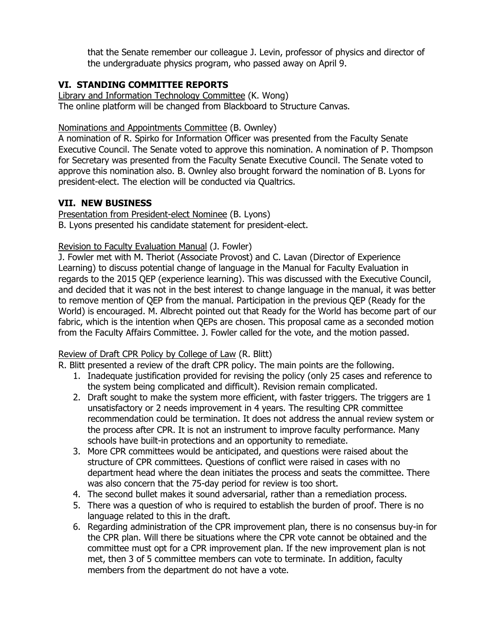that the Senate remember our colleague J. Levin, professor of physics and director of the undergraduate physics program, who passed away on April 9.

## **VI. STANDING COMMITTEE REPORTS**

Library and Information Technology Committee (K. Wong) The online platform will be changed from Blackboard to Structure Canvas.

## Nominations and Appointments Committee (B. Ownley)

A nomination of R. Spirko for Information Officer was presented from the Faculty Senate Executive Council. The Senate voted to approve this nomination. A nomination of P. Thompson for Secretary was presented from the Faculty Senate Executive Council. The Senate voted to approve this nomination also. B. Ownley also brought forward the nomination of B. Lyons for president-elect. The election will be conducted via Qualtrics.

## **VII. NEW BUSINESS**

Presentation from President-elect Nominee (B. Lyons) B. Lyons presented his candidate statement for president-elect.

## Revision to Faculty Evaluation Manual (J. Fowler)

J. Fowler met with M. Theriot (Associate Provost) and C. Lavan (Director of Experience Learning) to discuss potential change of language in the Manual for Faculty Evaluation in regards to the 2015 QEP (experience learning). This was discussed with the Executive Council, and decided that it was not in the best interest to change language in the manual, it was better to remove mention of QEP from the manual. Participation in the previous QEP (Ready for the World) is encouraged. M. Albrecht pointed out that Ready for the World has become part of our fabric, which is the intention when QEPs are chosen. This proposal came as a seconded motion from the Faculty Affairs Committee. J. Fowler called for the vote, and the motion passed.

## Review of Draft CPR Policy by College of Law (R. Blitt)

R. Blitt presented a review of the draft CPR policy. The main points are the following.

- 1. Inadequate justification provided for revising the policy (only 25 cases and reference to the system being complicated and difficult). Revision remain complicated.
- 2. Draft sought to make the system more efficient, with faster triggers. The triggers are 1 unsatisfactory or 2 needs improvement in 4 years. The resulting CPR committee recommendation could be termination. It does not address the annual review system or the process after CPR. It is not an instrument to improve faculty performance. Many schools have built-in protections and an opportunity to remediate.
- 3. More CPR committees would be anticipated, and questions were raised about the structure of CPR committees. Questions of conflict were raised in cases with no department head where the dean initiates the process and seats the committee. There was also concern that the 75-day period for review is too short.
- 4. The second bullet makes it sound adversarial, rather than a remediation process.
- 5. There was a question of who is required to establish the burden of proof. There is no language related to this in the draft.
- 6. Regarding administration of the CPR improvement plan, there is no consensus buy-in for the CPR plan. Will there be situations where the CPR vote cannot be obtained and the committee must opt for a CPR improvement plan. If the new improvement plan is not met, then 3 of 5 committee members can vote to terminate. In addition, faculty members from the department do not have a vote.